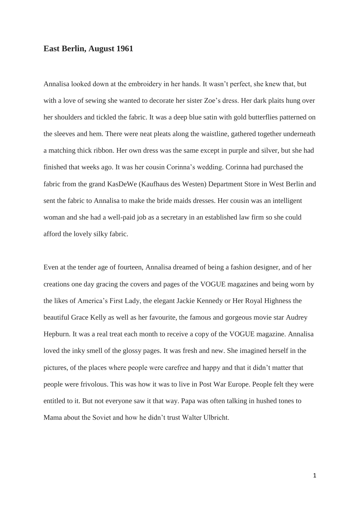## **East Berlin, August 1961**

Annalisa looked down at the embroidery in her hands. It wasn't perfect, she knew that, but with a love of sewing she wanted to decorate her sister Zoe's dress. Her dark plaits hung over her shoulders and tickled the fabric. It was a deep blue satin with gold butterflies patterned on the sleeves and hem. There were neat pleats along the waistline, gathered together underneath a matching thick ribbon. Her own dress was the same except in purple and silver, but she had finished that weeks ago. It was her cousin Corinna's wedding. Corinna had purchased the fabric from the grand KasDeWe (Kaufhaus des Westen) Department Store in West Berlin and sent the fabric to Annalisa to make the bride maids dresses. Her cousin was an intelligent woman and she had a well-paid job as a secretary in an established law firm so she could afford the lovely silky fabric.

Even at the tender age of fourteen, Annalisa dreamed of being a fashion designer, and of her creations one day gracing the covers and pages of the VOGUE magazines and being worn by the likes of America's First Lady, the elegant Jackie Kennedy or Her Royal Highness the beautiful Grace Kelly as well as her favourite, the famous and gorgeous movie star Audrey Hepburn. It was a real treat each month to receive a copy of the VOGUE magazine. Annalisa loved the inky smell of the glossy pages. It was fresh and new. She imagined herself in the pictures, of the places where people were carefree and happy and that it didn't matter that people were frivolous. This was how it was to live in Post War Europe. People felt they were entitled to it. But not everyone saw it that way. Papa was often talking in hushed tones to Mama about the Soviet and how he didn't trust Walter Ulbricht.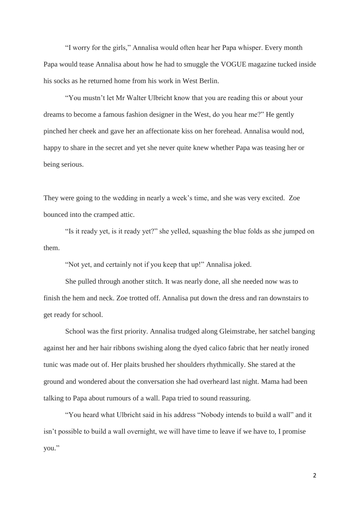"I worry for the girls," Annalisa would often hear her Papa whisper. Every month Papa would tease Annalisa about how he had to smuggle the VOGUE magazine tucked inside his socks as he returned home from his work in West Berlin.

"You mustn't let Mr Walter Ulbricht know that you are reading this or about your dreams to become a famous fashion designer in the West, do you hear me?" He gently pinched her cheek and gave her an affectionate kiss on her forehead. Annalisa would nod, happy to share in the secret and yet she never quite knew whether Papa was teasing her or being serious.

They were going to the wedding in nearly a week's time, and she was very excited. Zoe bounced into the cramped attic.

"Is it ready yet, is it ready yet?" she yelled, squashing the blue folds as she jumped on them.

"Not yet, and certainly not if you keep that up!" Annalisa joked.

She pulled through another stitch. It was nearly done, all she needed now was to finish the hem and neck. Zoe trotted off. Annalisa put down the dress and ran downstairs to get ready for school.

School was the first priority. Annalisa trudged along Gleimstrabe, her satchel banging against her and her hair ribbons swishing along the dyed calico fabric that her neatly ironed tunic was made out of. Her plaits brushed her shoulders rhythmically. She stared at the ground and wondered about the conversation she had overheard last night. Mama had been talking to Papa about rumours of a wall. Papa tried to sound reassuring.

"You heard what Ulbricht said in his address "Nobody intends to build a wall" and it isn't possible to build a wall overnight, we will have time to leave if we have to, I promise you."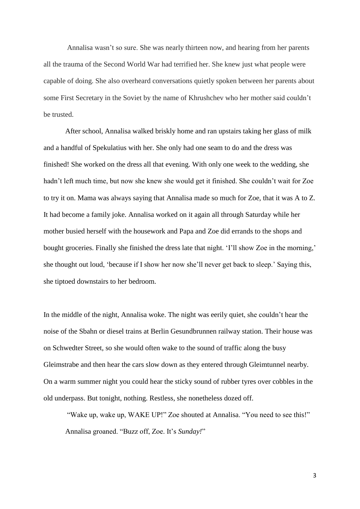Annalisa wasn't so sure. She was nearly thirteen now, and hearing from her parents all the trauma of the Second World War had terrified her. She knew just what people were capable of doing. She also overheard conversations quietly spoken between her parents about some First Secretary in the Soviet by the name of Khrushchev who her mother said couldn't be trusted.

After school, Annalisa walked briskly home and ran upstairs taking her glass of milk and a handful of Spekulatius with her. She only had one seam to do and the dress was finished! She worked on the dress all that evening. With only one week to the wedding, she hadn't left much time, but now she knew she would get it finished. She couldn't wait for Zoe to try it on. Mama was always saying that Annalisa made so much for Zoe, that it was A to Z. It had become a family joke. Annalisa worked on it again all through Saturday while her mother busied herself with the housework and Papa and Zoe did errands to the shops and bought groceries. Finally she finished the dress late that night. 'I'll show Zoe in the morning,' she thought out loud, 'because if I show her now she'll never get back to sleep.' Saying this, she tiptoed downstairs to her bedroom.

In the middle of the night, Annalisa woke. The night was eerily quiet, she couldn't hear the noise of the Sbahn or diesel trains at Berlin Gesundbrunnen railway station. Their house was on Schwedter Street, so she would often wake to the sound of traffic along the busy Gleimstrabe and then hear the cars slow down as they entered through Gleimtunnel nearby. On a warm summer night you could hear the sticky sound of rubber tyres over cobbles in the old underpass. But tonight, nothing. Restless, she nonetheless dozed off.

"Wake up, wake up, WAKE UP!" Zoe shouted at Annalisa. "You need to see this!" Annalisa groaned. "Buzz off, Zoe. It's *Sunday!*"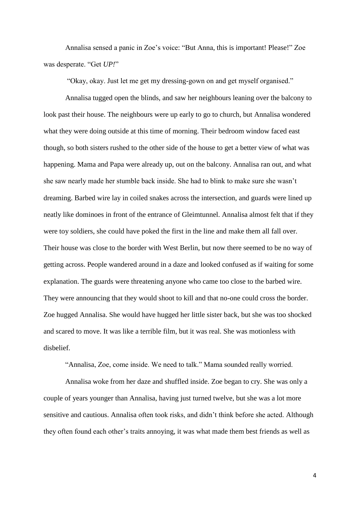Annalisa sensed a panic in Zoe's voice: "But Anna, this is important! Please!" Zoe was desperate. "Get *UP!*"

"Okay, okay. Just let me get my dressing-gown on and get myself organised."

Annalisa tugged open the blinds, and saw her neighbours leaning over the balcony to look past their house. The neighbours were up early to go to church, but Annalisa wondered what they were doing outside at this time of morning. Their bedroom window faced east though, so both sisters rushed to the other side of the house to get a better view of what was happening. Mama and Papa were already up, out on the balcony. Annalisa ran out, and what she saw nearly made her stumble back inside. She had to blink to make sure she wasn't dreaming. Barbed wire lay in coiled snakes across the intersection, and guards were lined up neatly like dominoes in front of the entrance of Gleimtunnel. Annalisa almost felt that if they were toy soldiers, she could have poked the first in the line and make them all fall over. Their house was close to the border with West Berlin, but now there seemed to be no way of getting across. People wandered around in a daze and looked confused as if waiting for some explanation. The guards were threatening anyone who came too close to the barbed wire. They were announcing that they would shoot to kill and that no-one could cross the border. Zoe hugged Annalisa. She would have hugged her little sister back, but she was too shocked and scared to move. It was like a terrible film, but it was real. She was motionless with disbelief.

"Annalisa, Zoe, come inside. We need to talk." Mama sounded really worried.

Annalisa woke from her daze and shuffled inside. Zoe began to cry. She was only a couple of years younger than Annalisa, having just turned twelve, but she was a lot more sensitive and cautious. Annalisa often took risks, and didn't think before she acted. Although they often found each other's traits annoying, it was what made them best friends as well as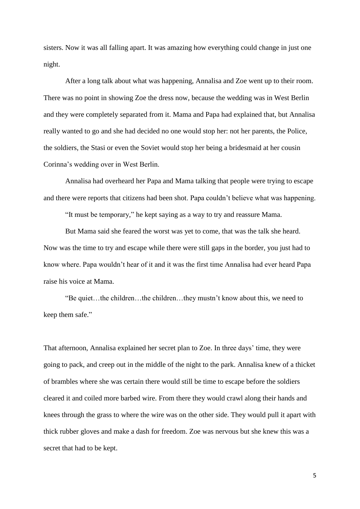sisters. Now it was all falling apart. It was amazing how everything could change in just one night.

After a long talk about what was happening, Annalisa and Zoe went up to their room. There was no point in showing Zoe the dress now, because the wedding was in West Berlin and they were completely separated from it. Mama and Papa had explained that, but Annalisa really wanted to go and she had decided no one would stop her: not her parents, the Police, the soldiers, the Stasi or even the Soviet would stop her being a bridesmaid at her cousin Corinna's wedding over in West Berlin.

Annalisa had overheard her Papa and Mama talking that people were trying to escape and there were reports that citizens had been shot. Papa couldn't believe what was happening.

"It must be temporary," he kept saying as a way to try and reassure Mama.

But Mama said she feared the worst was yet to come, that was the talk she heard. Now was the time to try and escape while there were still gaps in the border, you just had to know where. Papa wouldn't hear of it and it was the first time Annalisa had ever heard Papa raise his voice at Mama.

"Be quiet…the children…the children…they mustn't know about this, we need to keep them safe."

That afternoon, Annalisa explained her secret plan to Zoe. In three days' time, they were going to pack, and creep out in the middle of the night to the park. Annalisa knew of a thicket of brambles where she was certain there would still be time to escape before the soldiers cleared it and coiled more barbed wire. From there they would crawl along their hands and knees through the grass to where the wire was on the other side. They would pull it apart with thick rubber gloves and make a dash for freedom. Zoe was nervous but she knew this was a secret that had to be kept.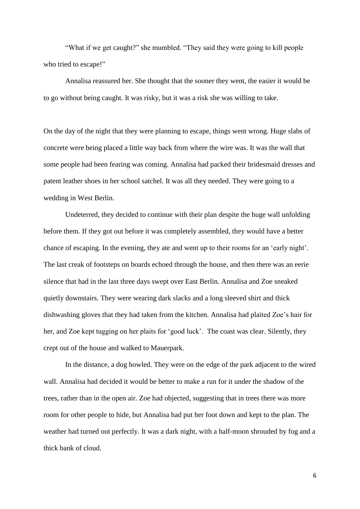"What if we get caught?" she mumbled. "They said they were going to kill people who tried to escape!"

Annalisa reassured her. She thought that the sooner they went, the easier it would be to go without being caught. It was risky, but it was a risk she was willing to take.

On the day of the night that they were planning to escape, things went wrong. Huge slabs of concrete were being placed a little way back from where the wire was. It was the wall that some people had been fearing was coming. Annalisa had packed their bridesmaid dresses and patent leather shoes in her school satchel. It was all they needed. They were going to a wedding in West Berlin.

Undeterred, they decided to continue with their plan despite the huge wall unfolding before them. If they got out before it was completely assembled, they would have a better chance of escaping. In the evening, they ate and went up to their rooms for an 'early night'. The last creak of footsteps on boards echoed through the house, and then there was an eerie silence that had in the last three days swept over East Berlin. Annalisa and Zoe sneaked quietly downstairs. They were wearing dark slacks and a long sleeved shirt and thick dishwashing gloves that they had taken from the kitchen. Annalisa had plaited Zoe's hair for her, and Zoe kept tugging on her plaits for 'good luck'. The coast was clear. Silently, they crept out of the house and walked to Mauerpark.

In the distance, a dog howled. They were on the edge of the park adjacent to the wired wall. Annalisa had decided it would be better to make a run for it under the shadow of the trees, rather than in the open air. Zoe had objected, suggesting that in trees there was more room for other people to hide, but Annalisa had put her foot down and kept to the plan. The weather had turned out perfectly. It was a dark night, with a half-moon shrouded by fog and a thick bank of cloud.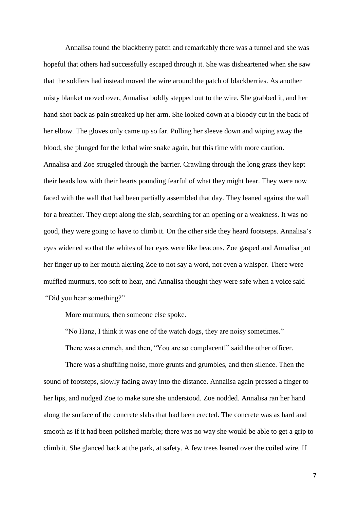Annalisa found the blackberry patch and remarkably there was a tunnel and she was hopeful that others had successfully escaped through it. She was disheartened when she saw that the soldiers had instead moved the wire around the patch of blackberries. As another misty blanket moved over, Annalisa boldly stepped out to the wire. She grabbed it, and her hand shot back as pain streaked up her arm. She looked down at a bloody cut in the back of her elbow. The gloves only came up so far. Pulling her sleeve down and wiping away the blood, she plunged for the lethal wire snake again, but this time with more caution. Annalisa and Zoe struggled through the barrier. Crawling through the long grass they kept their heads low with their hearts pounding fearful of what they might hear. They were now faced with the wall that had been partially assembled that day. They leaned against the wall for a breather. They crept along the slab, searching for an opening or a weakness. It was no good, they were going to have to climb it. On the other side they heard footsteps. Annalisa's eyes widened so that the whites of her eyes were like beacons. Zoe gasped and Annalisa put her finger up to her mouth alerting Zoe to not say a word, not even a whisper. There were muffled murmurs, too soft to hear, and Annalisa thought they were safe when a voice said "Did you hear something?"

More murmurs, then someone else spoke.

"No Hanz, I think it was one of the watch dogs, they are noisy sometimes."

There was a crunch, and then, "You are so complacent!" said the other officer.

There was a shuffling noise, more grunts and grumbles, and then silence. Then the sound of footsteps, slowly fading away into the distance. Annalisa again pressed a finger to her lips, and nudged Zoe to make sure she understood. Zoe nodded. Annalisa ran her hand along the surface of the concrete slabs that had been erected. The concrete was as hard and smooth as if it had been polished marble; there was no way she would be able to get a grip to climb it. She glanced back at the park, at safety. A few trees leaned over the coiled wire. If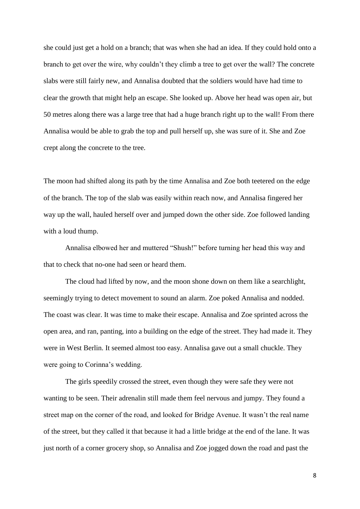she could just get a hold on a branch; that was when she had an idea. If they could hold onto a branch to get over the wire, why couldn't they climb a tree to get over the wall? The concrete slabs were still fairly new, and Annalisa doubted that the soldiers would have had time to clear the growth that might help an escape. She looked up. Above her head was open air, but 50 metres along there was a large tree that had a huge branch right up to the wall! From there Annalisa would be able to grab the top and pull herself up, she was sure of it. She and Zoe crept along the concrete to the tree.

The moon had shifted along its path by the time Annalisa and Zoe both teetered on the edge of the branch. The top of the slab was easily within reach now, and Annalisa fingered her way up the wall, hauled herself over and jumped down the other side. Zoe followed landing with a loud thump.

Annalisa elbowed her and muttered "Shush!" before turning her head this way and that to check that no-one had seen or heard them.

The cloud had lifted by now, and the moon shone down on them like a searchlight, seemingly trying to detect movement to sound an alarm. Zoe poked Annalisa and nodded. The coast was clear. It was time to make their escape. Annalisa and Zoe sprinted across the open area, and ran, panting, into a building on the edge of the street. They had made it. They were in West Berlin. It seemed almost too easy. Annalisa gave out a small chuckle. They were going to Corinna's wedding.

The girls speedily crossed the street, even though they were safe they were not wanting to be seen. Their adrenalin still made them feel nervous and jumpy. They found a street map on the corner of the road, and looked for Bridge Avenue. It wasn't the real name of the street, but they called it that because it had a little bridge at the end of the lane. It was just north of a corner grocery shop, so Annalisa and Zoe jogged down the road and past the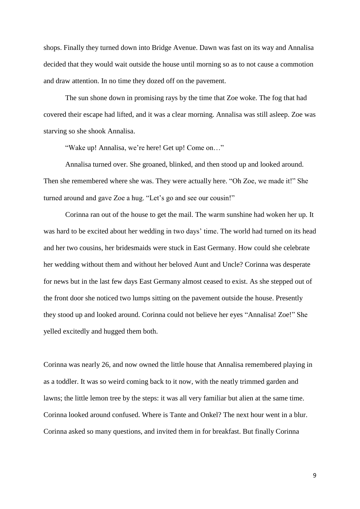shops. Finally they turned down into Bridge Avenue. Dawn was fast on its way and Annalisa decided that they would wait outside the house until morning so as to not cause a commotion and draw attention. In no time they dozed off on the pavement.

The sun shone down in promising rays by the time that Zoe woke. The fog that had covered their escape had lifted, and it was a clear morning. Annalisa was still asleep. Zoe was starving so she shook Annalisa.

"Wake up! Annalisa, we're here! Get up! Come on…"

Annalisa turned over. She groaned, blinked, and then stood up and looked around. Then she remembered where she was. They were actually here. "Oh Zoe, we made it!" She turned around and gave Zoe a hug. "Let's go and see our cousin!"

Corinna ran out of the house to get the mail. The warm sunshine had woken her up. It was hard to be excited about her wedding in two days' time. The world had turned on its head and her two cousins, her bridesmaids were stuck in East Germany. How could she celebrate her wedding without them and without her beloved Aunt and Uncle? Corinna was desperate for news but in the last few days East Germany almost ceased to exist. As she stepped out of the front door she noticed two lumps sitting on the pavement outside the house. Presently they stood up and looked around. Corinna could not believe her eyes "Annalisa! Zoe!" She yelled excitedly and hugged them both.

Corinna was nearly 26, and now owned the little house that Annalisa remembered playing in as a toddler. It was so weird coming back to it now, with the neatly trimmed garden and lawns; the little lemon tree by the steps: it was all very familiar but alien at the same time. Corinna looked around confused. Where is Tante and Onkel? The next hour went in a blur. Corinna asked so many questions, and invited them in for breakfast. But finally Corinna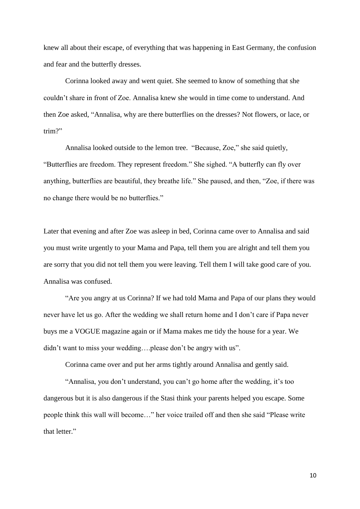knew all about their escape, of everything that was happening in East Germany, the confusion and fear and the butterfly dresses.

Corinna looked away and went quiet. She seemed to know of something that she couldn't share in front of Zoe. Annalisa knew she would in time come to understand. And then Zoe asked, "Annalisa, why are there butterflies on the dresses? Not flowers, or lace, or trim?"

Annalisa looked outside to the lemon tree. "Because, Zoe," she said quietly, "Butterflies are freedom. They represent freedom." She sighed. "A butterfly can fly over anything, butterflies are beautiful, they breathe life." She paused, and then, "Zoe, if there was no change there would be no butterflies."

Later that evening and after Zoe was asleep in bed, Corinna came over to Annalisa and said you must write urgently to your Mama and Papa, tell them you are alright and tell them you are sorry that you did not tell them you were leaving. Tell them I will take good care of you. Annalisa was confused.

"Are you angry at us Corinna? If we had told Mama and Papa of our plans they would never have let us go. After the wedding we shall return home and I don't care if Papa never buys me a VOGUE magazine again or if Mama makes me tidy the house for a year. We didn't want to miss your wedding….please don't be angry with us".

Corinna came over and put her arms tightly around Annalisa and gently said.

"Annalisa, you don't understand, you can't go home after the wedding, it's too dangerous but it is also dangerous if the Stasi think your parents helped you escape. Some people think this wall will become…" her voice trailed off and then she said "Please write that letter."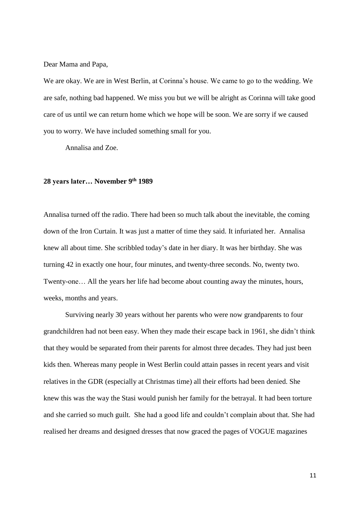Dear Mama and Papa,

We are okay. We are in West Berlin, at Corinna's house. We came to go to the wedding. We are safe, nothing bad happened. We miss you but we will be alright as Corinna will take good care of us until we can return home which we hope will be soon. We are sorry if we caused you to worry. We have included something small for you.

Annalisa and Zoe.

## **28 years later… November 9 th 1989**

Annalisa turned off the radio. There had been so much talk about the inevitable, the coming down of the Iron Curtain. It was just a matter of time they said. It infuriated her. Annalisa knew all about time. She scribbled today's date in her diary. It was her birthday. She was turning 42 in exactly one hour, four minutes, and twenty-three seconds. No, twenty two. Twenty-one… All the years her life had become about counting away the minutes, hours, weeks, months and years.

Surviving nearly 30 years without her parents who were now grandparents to four grandchildren had not been easy. When they made their escape back in 1961, she didn't think that they would be separated from their parents for almost three decades. They had just been kids then. Whereas many people in West Berlin could attain passes in recent years and visit relatives in the GDR (especially at Christmas time) all their efforts had been denied. She knew this was the way the Stasi would punish her family for the betrayal. It had been torture and she carried so much guilt. She had a good life and couldn't complain about that. She had realised her dreams and designed dresses that now graced the pages of VOGUE magazines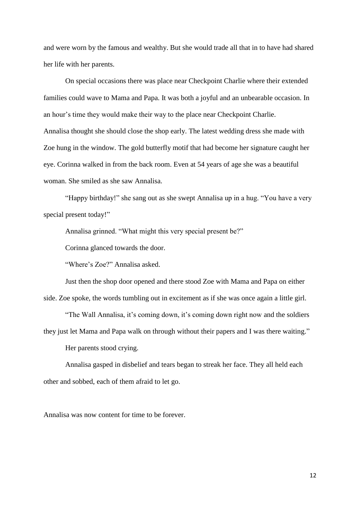and were worn by the famous and wealthy. But she would trade all that in to have had shared her life with her parents.

On special occasions there was place near Checkpoint Charlie where their extended families could wave to Mama and Papa. It was both a joyful and an unbearable occasion. In an hour's time they would make their way to the place near Checkpoint Charlie. Annalisa thought she should close the shop early. The latest wedding dress she made with Zoe hung in the window. The gold butterfly motif that had become her signature caught her eye. Corinna walked in from the back room. Even at 54 years of age she was a beautiful woman. She smiled as she saw Annalisa.

"Happy birthday!" she sang out as she swept Annalisa up in a hug. "You have a very special present today!"

Annalisa grinned. "What might this very special present be?"

Corinna glanced towards the door.

"Where's Zoe?" Annalisa asked.

Just then the shop door opened and there stood Zoe with Mama and Papa on either side. Zoe spoke, the words tumbling out in excitement as if she was once again a little girl.

"The Wall Annalisa, it's coming down, it's coming down right now and the soldiers they just let Mama and Papa walk on through without their papers and I was there waiting."

Her parents stood crying.

Annalisa gasped in disbelief and tears began to streak her face. They all held each other and sobbed, each of them afraid to let go.

Annalisa was now content for time to be forever.